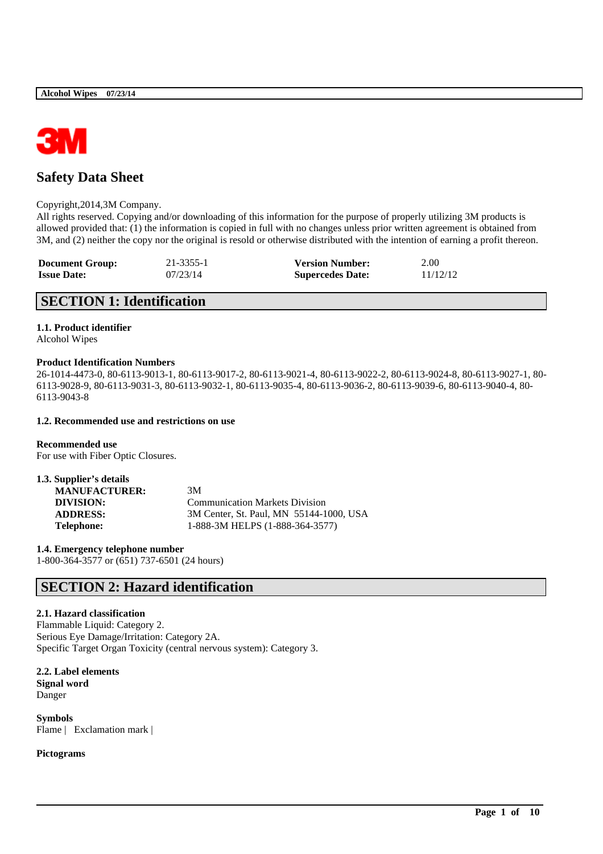

# **Safety Data Sheet**

### Copyright,2014,3M Company.

All rights reserved. Copying and/or downloading of this information for the purpose of properly utilizing 3M products is allowed provided that: (1) the information is copied in full with no changes unless prior written agreement is obtained from 3M, and (2) neither the copy nor the original is resold or otherwise distributed with the intention of earning a profit thereon.

| <b>Document Group:</b> | 21-3355-1 | <b>Version Number:</b>  | 2.00     |
|------------------------|-----------|-------------------------|----------|
| <b>Issue Date:</b>     | 07/23/14  | <b>Supercedes Date:</b> | 11/12/12 |

# **SECTION 1: Identification**

### **1.1. Product identifier**

Alcohol Wipes

### **Product Identification Numbers**

26-1014-4473-0, 80-6113-9013-1, 80-6113-9017-2, 80-6113-9021-4, 80-6113-9022-2, 80-6113-9024-8, 80-6113-9027-1, 80- 6113-9028-9, 80-6113-9031-3, 80-6113-9032-1, 80-6113-9035-4, 80-6113-9036-2, 80-6113-9039-6, 80-6113-9040-4, 80- 6113-9043-8

\_\_\_\_\_\_\_\_\_\_\_\_\_\_\_\_\_\_\_\_\_\_\_\_\_\_\_\_\_\_\_\_\_\_\_\_\_\_\_\_\_\_\_\_\_\_\_\_\_\_\_\_\_\_\_\_\_\_\_\_\_\_\_\_\_\_\_\_\_\_\_\_\_\_\_\_\_\_\_\_\_\_\_\_\_\_\_\_\_\_

### **1.2. Recommended use and restrictions on use**

**Recommended use** For use with Fiber Optic Closures.

| 1.3. Supplier's details |                                         |
|-------------------------|-----------------------------------------|
| <b>MANUFACTURER:</b>    | 3M                                      |
| DIVISION:               | <b>Communication Markets Division</b>   |
| <b>ADDRESS:</b>         | 3M Center, St. Paul, MN 55144-1000, USA |
| Telephone:              | 1-888-3M HELPS (1-888-364-3577)         |

**1.4. Emergency telephone number**

1-800-364-3577 or (651) 737-6501 (24 hours)

# **SECTION 2: Hazard identification**

## **2.1. Hazard classification**

Flammable Liquid: Category 2. Serious Eye Damage/Irritation: Category 2A. Specific Target Organ Toxicity (central nervous system): Category 3.

**2.2. Label elements Signal word** Danger

**Symbols** Flame | Exclamation mark |

## **Pictograms**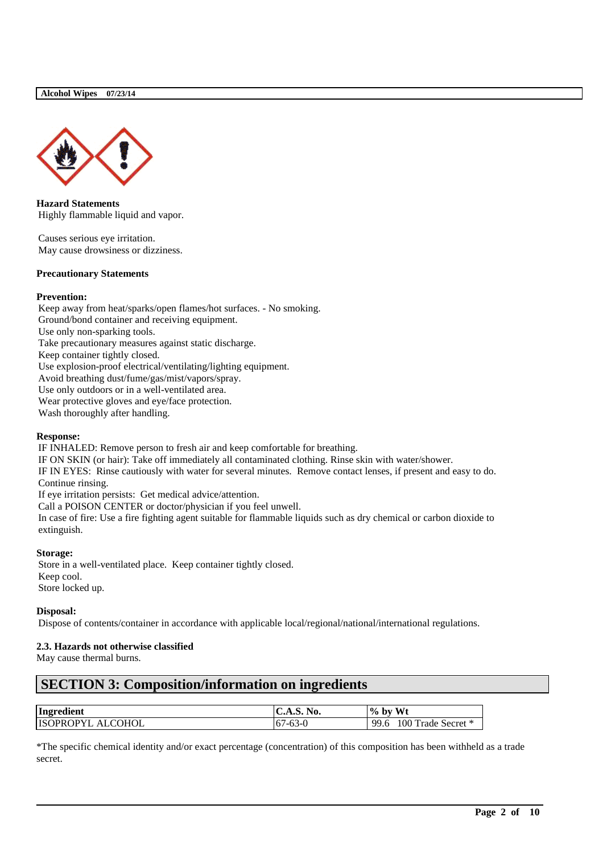

**Hazard Statements** Highly flammable liquid and vapor.

Causes serious eye irritation. May cause drowsiness or dizziness.

### **Precautionary Statements**

### **Prevention:**

Keep away from heat/sparks/open flames/hot surfaces. - No smoking. Ground/bond container and receiving equipment. Use only non-sparking tools. Take precautionary measures against static discharge. Keep container tightly closed. Use explosion-proof electrical/ventilating/lighting equipment. Avoid breathing dust/fume/gas/mist/vapors/spray. Use only outdoors or in a well-ventilated area. Wear protective gloves and eye/face protection. Wash thoroughly after handling.

### **Response:**

IF INHALED: Remove person to fresh air and keep comfortable for breathing.

IF ON SKIN (or hair): Take off immediately all contaminated clothing. Rinse skin with water/shower.

IF IN EYES: Rinse cautiously with water for several minutes. Remove contact lenses, if present and easy to do. Continue rinsing.

If eye irritation persists: Get medical advice/attention.

Call a POISON CENTER or doctor/physician if you feel unwell.

In case of fire: Use a fire fighting agent suitable for flammable liquids such as dry chemical or carbon dioxide to extinguish.

### **Storage:**

Store in a well-ventilated place. Keep container tightly closed. Keep cool. Store locked up.

### **Disposal:**

Dispose of contents/container in accordance with applicable local/regional/national/international regulations.

## **2.3. Hazards not otherwise classified**

May cause thermal burns.

# **SECTION 3: Composition/information on ingredients**

| Ingredient               | <b>C.A.S. No.</b> | Wt<br>$%$ by               |
|--------------------------|-------------------|----------------------------|
| <b>ISOPROPYL ALCOHOL</b> | $ 67-63-0$        | 100 Trade Secret *<br>99.6 |

\*The specific chemical identity and/or exact percentage (concentration) of this composition has been withheld as a trade secret.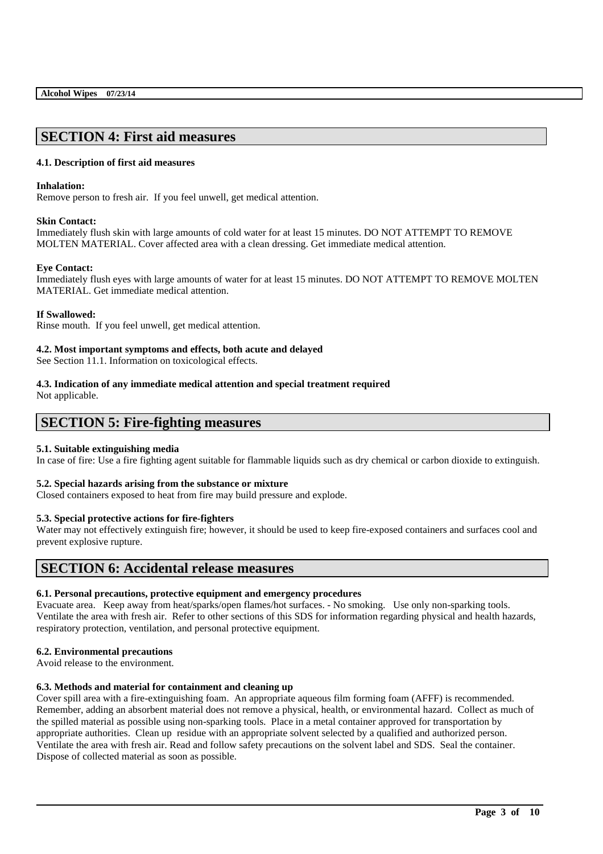# **SECTION 4: First aid measures**

## **4.1. Description of first aid measures**

### **Inhalation:**

Remove person to fresh air. If you feel unwell, get medical attention.

### **Skin Contact:**

Immediately flush skin with large amounts of cold water for at least 15 minutes. DO NOT ATTEMPT TO REMOVE MOLTEN MATERIAL. Cover affected area with a clean dressing. Get immediate medical attention.

### **Eye Contact:**

Immediately flush eyes with large amounts of water for at least 15 minutes. DO NOT ATTEMPT TO REMOVE MOLTEN MATERIAL. Get immediate medical attention.

### **If Swallowed:**

Rinse mouth. If you feel unwell, get medical attention.

### **4.2. Most important symptoms and effects, both acute and delayed**

See Section 11.1. Information on toxicological effects.

# **4.3. Indication of any immediate medical attention and special treatment required**

Not applicable.

# **SECTION 5: Fire-fighting measures**

## **5.1. Suitable extinguishing media**

In case of fire: Use a fire fighting agent suitable for flammable liquids such as dry chemical or carbon dioxide to extinguish.

## **5.2. Special hazards arising from the substance or mixture**

Closed containers exposed to heat from fire may build pressure and explode.

## **5.3. Special protective actions for fire-fighters**

Water may not effectively extinguish fire; however, it should be used to keep fire-exposed containers and surfaces cool and prevent explosive rupture.

## **SECTION 6: Accidental release measures**

## **6.1. Personal precautions, protective equipment and emergency procedures**

Evacuate area. Keep away from heat/sparks/open flames/hot surfaces. - No smoking. Use only non-sparking tools. Ventilate the area with fresh air. Refer to other sections of this SDS for information regarding physical and health hazards, respiratory protection, ventilation, and personal protective equipment.

## **6.2. Environmental precautions**

Avoid release to the environment.

## **6.3. Methods and material for containment and cleaning up**

Cover spill area with a fire-extinguishing foam. An appropriate aqueous film forming foam (AFFF) is recommended. Remember, adding an absorbent material does not remove a physical, health, or environmental hazard. Collect as much of the spilled material as possible using non-sparking tools. Place in a metal container approved for transportation by appropriate authorities. Clean up residue with an appropriate solvent selected by a qualified and authorized person. Ventilate the area with fresh air. Read and follow safety precautions on the solvent label and SDS. Seal the container. Dispose of collected material as soon as possible.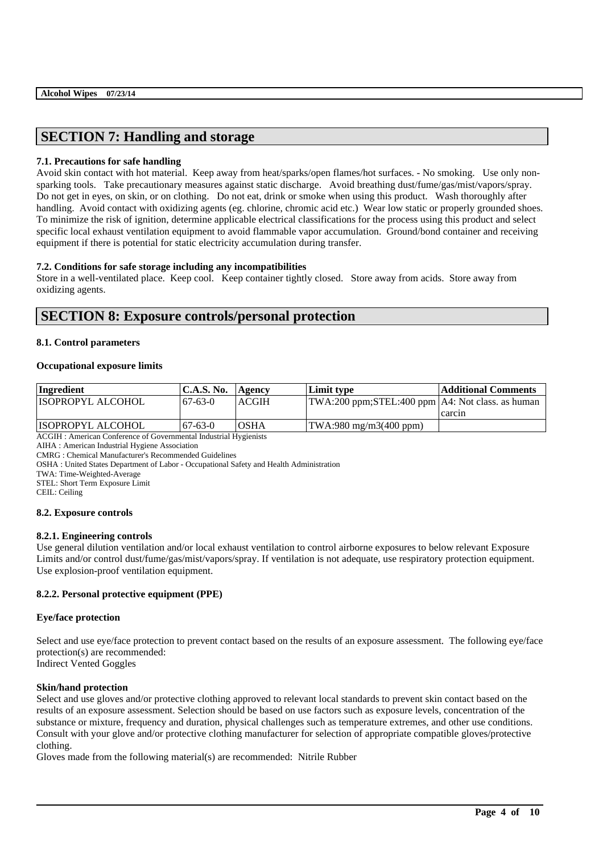# **SECTION 7: Handling and storage**

## **7.1. Precautions for safe handling**

Avoid skin contact with hot material. Keep away from heat/sparks/open flames/hot surfaces. - No smoking. Use only nonsparking tools. Take precautionary measures against static discharge. Avoid breathing dust/fume/gas/mist/vapors/spray. Do not get in eyes, on skin, or on clothing. Do not eat, drink or smoke when using this product. Wash thoroughly after handling. Avoid contact with oxidizing agents (eg. chlorine, chromic acid etc.) Wear low static or properly grounded shoes. To minimize the risk of ignition, determine applicable electrical classifications for the process using this product and select specific local exhaust ventilation equipment to avoid flammable vapor accumulation. Ground/bond container and receiving equipment if there is potential for static electricity accumulation during transfer.

## **7.2. Conditions for safe storage including any incompatibilities**

Store in a well-ventilated place. Keep cool. Keep container tightly closed. Store away from acids. Store away from oxidizing agents.

# **SECTION 8: Exposure controls/personal protection**

## **8.1. Control parameters**

## **Occupational exposure limits**

| Ingredient                | <b>C.A.S. No.</b> | Agency       | Limit type                                         | <b>Additional Comments</b> |
|---------------------------|-------------------|--------------|----------------------------------------------------|----------------------------|
| <b>IISOPROPYL ALCOHOL</b> | $67-63-0$         | <b>ACGIH</b> | TWA:200 ppm;STEL:400 ppm   A4: Not class. as human |                            |
|                           |                   |              |                                                    | carcin                     |
| <b>ISOPROPYL ALCOHOL</b>  | $67-63-0$         | <b>OSHA</b>  | $TWA:980$ mg/m $3(400$ ppm)                        |                            |

ACGIH : American Conference of Governmental Industrial Hygienists

AIHA : American Industrial Hygiene Association

CMRG : Chemical Manufacturer's Recommended Guidelines

OSHA : United States Department of Labor - Occupational Safety and Health Administration

TWA: Time-Weighted-Average

STEL: Short Term Exposure Limit

CEIL: Ceiling

## **8.2. Exposure controls**

## **8.2.1. Engineering controls**

Use general dilution ventilation and/or local exhaust ventilation to control airborne exposures to below relevant Exposure Limits and/or control dust/fume/gas/mist/vapors/spray. If ventilation is not adequate, use respiratory protection equipment. Use explosion-proof ventilation equipment.

## **8.2.2. Personal protective equipment (PPE)**

## **Eye/face protection**

Select and use eye/face protection to prevent contact based on the results of an exposure assessment. The following eye/face protection(s) are recommended: Indirect Vented Goggles

## **Skin/hand protection**

Select and use gloves and/or protective clothing approved to relevant local standards to prevent skin contact based on the results of an exposure assessment. Selection should be based on use factors such as exposure levels, concentration of the substance or mixture, frequency and duration, physical challenges such as temperature extremes, and other use conditions. Consult with your glove and/or protective clothing manufacturer for selection of appropriate compatible gloves/protective clothing.

\_\_\_\_\_\_\_\_\_\_\_\_\_\_\_\_\_\_\_\_\_\_\_\_\_\_\_\_\_\_\_\_\_\_\_\_\_\_\_\_\_\_\_\_\_\_\_\_\_\_\_\_\_\_\_\_\_\_\_\_\_\_\_\_\_\_\_\_\_\_\_\_\_\_\_\_\_\_\_\_\_\_\_\_\_\_\_\_\_\_

Gloves made from the following material(s) are recommended: Nitrile Rubber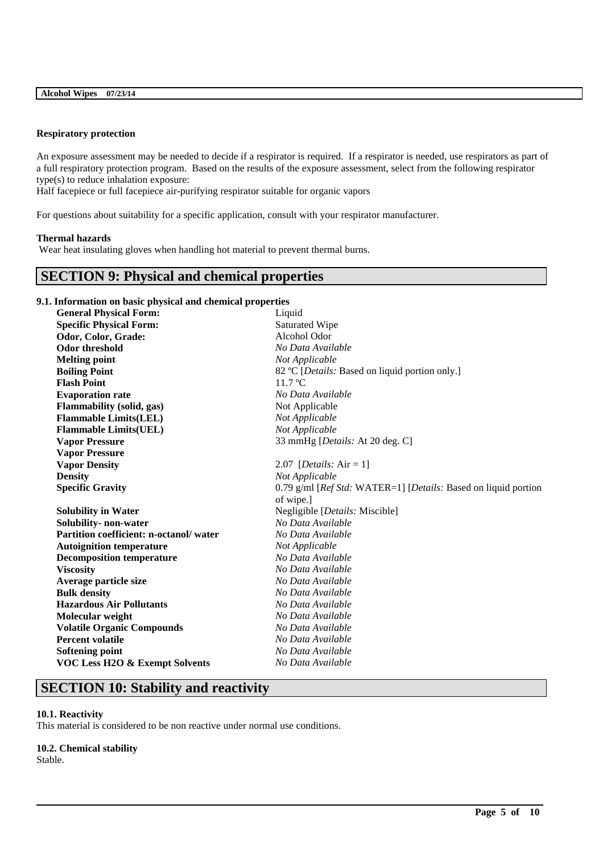### **Respiratory protection**

An exposure assessment may be needed to decide if a respirator is required. If a respirator is needed, use respirators as part of a full respiratory protection program. Based on the results of the exposure assessment, select from the following respirator type(s) to reduce inhalation exposure:

Half facepiece or full facepiece air-purifying respirator suitable for organic vapors

For questions about suitability for a specific application, consult with your respirator manufacturer.

### **Thermal hazards**

Wear heat insulating gloves when handling hot material to prevent thermal burns.

## **SECTION 9: Physical and chemical properties**

### **9.1. Information on basic physical and chemical properties**

| <b>General Physical Form:</b>             | Liquid                                                         |
|-------------------------------------------|----------------------------------------------------------------|
| <b>Specific Physical Form:</b>            | Saturated Wipe                                                 |
| Odor, Color, Grade:                       | Alcohol Odor                                                   |
| <b>Odor threshold</b>                     | No Data Available                                              |
| <b>Melting point</b>                      | Not Applicable                                                 |
| <b>Boiling Point</b>                      | 82 °C [ <i>Details:</i> Based on liquid portion only.]         |
| <b>Flash Point</b>                        | 11.7 °C                                                        |
| <b>Evaporation rate</b>                   | No Data Available                                              |
| Flammability (solid, gas)                 | Not Applicable                                                 |
| <b>Flammable Limits(LEL)</b>              | Not Applicable                                                 |
| <b>Flammable Limits(UEL)</b>              | Not Applicable                                                 |
| <b>Vapor Pressure</b>                     | 33 mmHg [Details: At 20 deg. C]                                |
| <b>Vapor Pressure</b>                     |                                                                |
| <b>Vapor Density</b>                      | 2.07 [ <i>Details</i> : $Air = 1$ ]                            |
| <b>Density</b>                            | Not Applicable                                                 |
| <b>Specific Gravity</b>                   | 0.79 g/ml [Ref Std: WATER=1] [Details: Based on liquid portion |
|                                           | of wipe.]                                                      |
| <b>Solubility in Water</b>                | Negligible [Details: Miscible]                                 |
| Solubility- non-water                     | No Data Available                                              |
| Partition coefficient: n-octanol/water    | No Data Available                                              |
| <b>Autoignition temperature</b>           | Not Applicable                                                 |
| <b>Decomposition temperature</b>          | No Data Available                                              |
| <b>Viscosity</b>                          | No Data Available                                              |
| Average particle size                     | No Data Available                                              |
| <b>Bulk density</b>                       | No Data Available                                              |
| <b>Hazardous Air Pollutants</b>           | No Data Available                                              |
| Molecular weight                          | No Data Available                                              |
| <b>Volatile Organic Compounds</b>         | No Data Available                                              |
| <b>Percent volatile</b>                   | No Data Available                                              |
| <b>Softening point</b>                    | No Data Available                                              |
| <b>VOC Less H2O &amp; Exempt Solvents</b> | No Data Available                                              |

\_\_\_\_\_\_\_\_\_\_\_\_\_\_\_\_\_\_\_\_\_\_\_\_\_\_\_\_\_\_\_\_\_\_\_\_\_\_\_\_\_\_\_\_\_\_\_\_\_\_\_\_\_\_\_\_\_\_\_\_\_\_\_\_\_\_\_\_\_\_\_\_\_\_\_\_\_\_\_\_\_\_\_\_\_\_\_\_\_\_

# **SECTION 10: Stability and reactivity**

## **10.1. Reactivity**

This material is considered to be non reactive under normal use conditions.

## **10.2. Chemical stability**

Stable.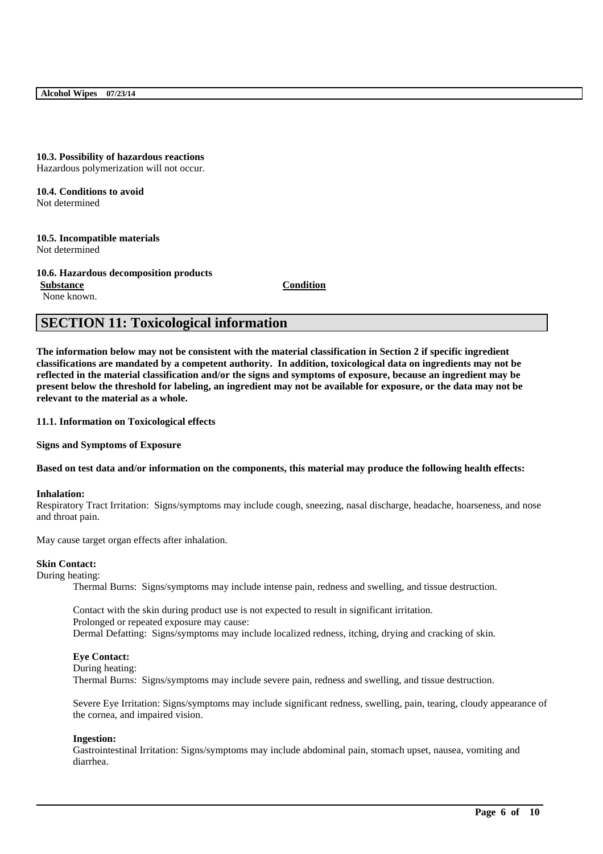### **10.3. Possibility of hazardous reactions** Hazardous polymerization will not occur.

**10.4. Conditions to avoid** Not determined

**10.5. Incompatible materials** Not determined

**10.6. Hazardous decomposition products Substance Condition**

None known.

# **SECTION 11: Toxicological information**

**The information below may not be consistent with the material classification in Section 2 if specific ingredient classifications are mandated by a competent authority. In addition, toxicological data on ingredients may not be reflected in the material classification and/or the signs and symptoms of exposure, because an ingredient may be present below the threshold for labeling, an ingredient may not be available for exposure, or the data may not be relevant to the material as a whole.**

**11.1. Information on Toxicological effects**

**Signs and Symptoms of Exposure**

**Based on test data and/or information on the components, this material may produce the following health effects:**

### **Inhalation:**

Respiratory Tract Irritation: Signs/symptoms may include cough, sneezing, nasal discharge, headache, hoarseness, and nose and throat pain.

May cause target organ effects after inhalation.

### **Skin Contact:**

During heating:

Thermal Burns: Signs/symptoms may include intense pain, redness and swelling, and tissue destruction.

Contact with the skin during product use is not expected to result in significant irritation. Prolonged or repeated exposure may cause: Dermal Defatting: Signs/symptoms may include localized redness, itching, drying and cracking of skin.

### **Eye Contact:**

During heating:

Thermal Burns: Signs/symptoms may include severe pain, redness and swelling, and tissue destruction.

Severe Eye Irritation: Signs/symptoms may include significant redness, swelling, pain, tearing, cloudy appearance of the cornea, and impaired vision.

### **Ingestion:**

Gastrointestinal Irritation: Signs/symptoms may include abdominal pain, stomach upset, nausea, vomiting and diarrhea.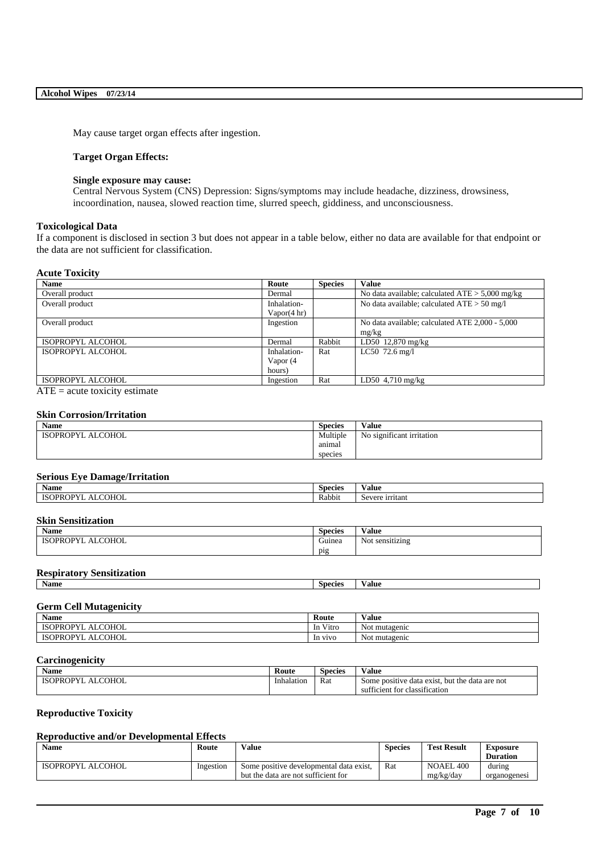May cause target organ effects after ingestion.

### **Target Organ Effects:**

### **Single exposure may cause:**

Central Nervous System (CNS) Depression: Signs/symptoms may include headache, dizziness, drowsiness, incoordination, nausea, slowed reaction time, slurred speech, giddiness, and unconsciousness.

### **Toxicological Data**

If a component is disclosed in section 3 but does not appear in a table below, either no data are available for that endpoint or the data are not sufficient for classification.

### **Acute Toxicity**

| <b>Name</b>       | Route       | <b>Species</b> | <b>Value</b>                                      |
|-------------------|-------------|----------------|---------------------------------------------------|
| Overall product   | Dermal      |                | No data available; calculated $ATE > 5,000$ mg/kg |
| Overall product   | Inhalation- |                | No data available; calculated $ATE > 50$ mg/l     |
|                   | Vapor(4 hr) |                |                                                   |
| Overall product   | Ingestion   |                | No data available; calculated ATE 2,000 - 5,000   |
|                   |             |                | mg/kg                                             |
| ISOPROPYL ALCOHOL | Dermal      | Rabbit         | LD50 12,870 mg/kg                                 |
| ISOPROPYL ALCOHOL | Inhalation- | Rat            | LC50 $72.6$ mg/l                                  |
|                   | Vapor (4    |                |                                                   |
|                   | hours)      |                |                                                   |
| ISOPROPYL ALCOHOL | Ingestion   | Rat            | LD50 $4,710$ mg/kg                                |

 $\overline{ATE}$  = acute toxicity estimate

### **Skin Corrosion/Irritation**

| <b>Name</b>       | <b>Species</b> | Value                     |
|-------------------|----------------|---------------------------|
| ISOPROPYL ALCOHOL | Multiple       | No significant irritation |
|                   | anımal         |                           |
|                   | species        |                           |

## **Serious Eye Damage/Irritation**

| <b>Name</b>               | Species | $-1$<br>⁄ alue                    |
|---------------------------|---------|-----------------------------------|
| COHOL<br>'ROP<br>.<br>. . | Rabbit  | -<br><i>irritant</i><br>$S$ evere |

### **Skin Sensitization**

| $\mathbf{X}$<br>Name                                                  | -<br><b>Species</b> | $-1$<br>√alue          |
|-----------------------------------------------------------------------|---------------------|------------------------|
| <b>COHOL</b><br>$\Omega$<br><b>ISOPROPY</b><br>$\Delta$ i<br>ᇿ<br>. . | $\sim$<br>Guinea    | . .<br>Not sensitizing |
|                                                                       | pig                 |                        |

# **Respiratory Sensitization**

| ксэрн асог у всизничанон |         |       |
|--------------------------|---------|-------|
| <b>Name</b>              | Species | Value |
|                          |         |       |

# **Germ Cell Mutagenicity**

| Name                                   | Route         | - 1<br>Value     |
|----------------------------------------|---------------|------------------|
| COHOL<br><b>ISOPROPYI</b><br><b>In</b> | $-1$<br>V1tro | Not mutagenic    |
| COHOL<br>)PY<br>าPR∖<br>ISC<br>1n      | V1VO          | Not<br>mutagenic |

## **Carcinogenicity**

| - -<br>Name                               | Route      | -<br><b>Species</b> | $-1$<br>V alue                                                     |
|-------------------------------------------|------------|---------------------|--------------------------------------------------------------------|
| <b>COHOL</b><br>7PR)<br>√P.<br>$\Delta$ I | Inhalation | Rat<br>.            | but the<br>are not<br>c data exist<br>e data<br>: positive<br>Some |
|                                           |            |                     | classification<br>sufficient for                                   |

## **Reproductive Toxicity**

## **Reproductive and/or Developmental Effects**

| Name              | Value<br>Route |                                         | <b>Species</b> | <b>Test Result</b> | Exposure        |
|-------------------|----------------|-----------------------------------------|----------------|--------------------|-----------------|
|                   |                |                                         |                |                    | <b>Duration</b> |
| ISOPROPYL ALCOHOL | Ingestion      | Some positive developmental data exist, | Rat            | NOAEL 400          | during          |
|                   |                | but the data are not sufficient for     |                | me/kg/day          | organogenesi    |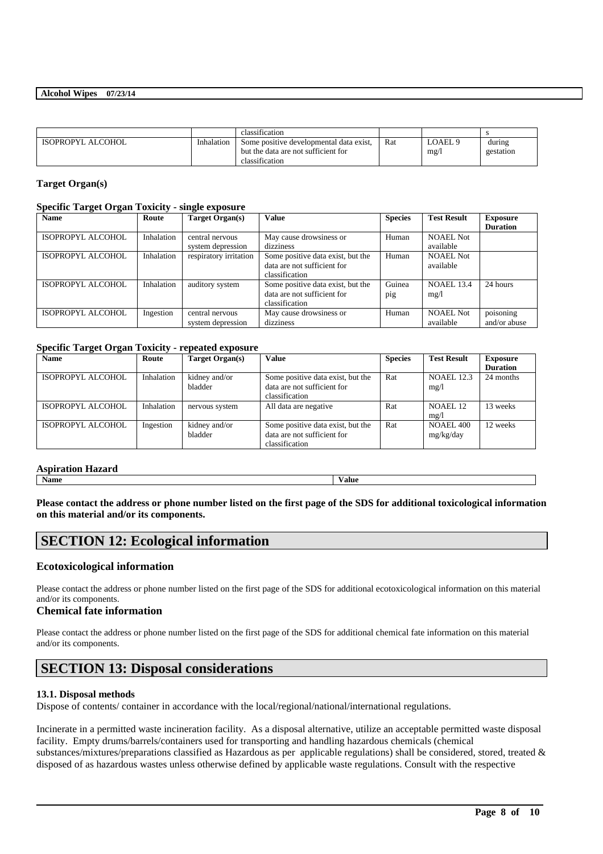|                   |            | classification                                                                                   |     |                 |                     |
|-------------------|------------|--------------------------------------------------------------------------------------------------|-----|-----------------|---------------------|
| ISOPROPYL ALCOHOL | Inhalation | Some positive developmental data exist,<br>but the data are not sufficient for<br>classification | Rat | LOAEL 9<br>mg/l | during<br>gestation |

### **Target Organ(s)**

### **Specific Target Organ Toxicity - single exposure**

| <b>Name</b>       | Route      | Target Organ(s)        | Value                             | <b>Species</b> | <b>Test Result</b> | <b>Exposure</b> |
|-------------------|------------|------------------------|-----------------------------------|----------------|--------------------|-----------------|
|                   |            |                        |                                   |                |                    | <b>Duration</b> |
| ISOPROPYL ALCOHOL | Inhalation | central nervous        | May cause drowsiness or           | Human          | NOAEL Not          |                 |
|                   |            | system depression      | dizziness                         |                | available          |                 |
| ISOPROPYL ALCOHOL | Inhalation | respiratory irritation | Some positive data exist, but the | Human          | NOAEL Not          |                 |
|                   |            |                        | data are not sufficient for       |                | available          |                 |
|                   |            |                        | classification                    |                |                    |                 |
| ISOPROPYL ALCOHOL | Inhalation | auditory system        | Some positive data exist, but the | Guinea         | <b>NOAEL 13.4</b>  | 24 hours        |
|                   |            |                        | data are not sufficient for       | pig            | mg/1               |                 |
|                   |            |                        | classification                    |                |                    |                 |
| ISOPROPYL ALCOHOL | Ingestion  | central nervous        | May cause drowsiness or           | Human          | <b>NOAEL Not</b>   | poisoning       |
|                   |            | system depression      | dizziness                         |                | available          | and/or abuse    |

## **Specific Target Organ Toxicity - repeated exposure**

| <b>Name</b>       | Route      | Target Organ(s) | <b>Value</b>                      | <b>Species</b> | <b>Test Result</b> | Exposure        |
|-------------------|------------|-----------------|-----------------------------------|----------------|--------------------|-----------------|
|                   |            |                 |                                   |                |                    | <b>Duration</b> |
| ISOPROPYL ALCOHOL | Inhalation | kidney and/or   | Some positive data exist, but the | Rat            | <b>NOAEL 12.3</b>  | 24 months       |
|                   |            | bladder         | data are not sufficient for       |                | mg/1               |                 |
|                   |            |                 | classification                    |                |                    |                 |
| ISOPROPYL ALCOHOL | Inhalation | nervous system  | All data are negative             | Rat            | NOAEL 12           | 13 weeks        |
|                   |            |                 |                                   |                | mg/l               |                 |
| ISOPROPYL ALCOHOL | Ingestion  | kidney and/or   | Some positive data exist, but the | Rat            | <b>NOAEL 400</b>   | 12 weeks        |
|                   |            | bladder         | data are not sufficient for       |                | mg/kg/day          |                 |
|                   |            |                 | classification                    |                |                    |                 |

### **Aspiration Hazard**

**Name Value**

**Please contact the address or phone number listed on the first page of the SDS for additional toxicological information on this material and/or its components.**

# **SECTION 12: Ecological information**

## **Ecotoxicological information**

Please contact the address or phone number listed on the first page of the SDS for additional ecotoxicological information on this material and/or its components.

## **Chemical fate information**

Please contact the address or phone number listed on the first page of the SDS for additional chemical fate information on this material and/or its components.

# **SECTION 13: Disposal considerations**

## **13.1. Disposal methods**

Dispose of contents/ container in accordance with the local/regional/national/international regulations.

Incinerate in a permitted waste incineration facility. As a disposal alternative, utilize an acceptable permitted waste disposal facility. Empty drums/barrels/containers used for transporting and handling hazardous chemicals (chemical substances/mixtures/preparations classified as Hazardous as per applicable regulations) shall be considered, stored, treated & disposed of as hazardous wastes unless otherwise defined by applicable waste regulations. Consult with the respective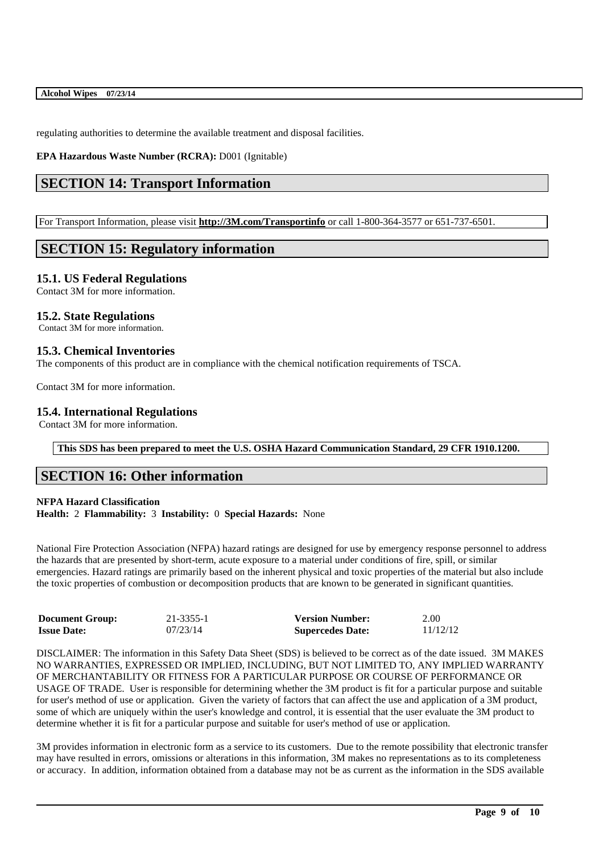regulating authorities to determine the available treatment and disposal facilities.

**EPA Hazardous Waste Number (RCRA):** D001 (Ignitable)

# **SECTION 14: Transport Information**

For Transport Information, please visit **http://3M.com/Transportinfo** or call 1-800-364-3577 or 651-737-6501.

# **SECTION 15: Regulatory information**

## **15.1. US Federal Regulations**

Contact 3M for more information.

## **15.2. State Regulations**

Contact 3M for more information.

## **15.3. Chemical Inventories**

The components of this product are in compliance with the chemical notification requirements of TSCA.

Contact 3M for more information.

## **15.4. International Regulations**

Contact 3M for more information.

### **This SDS has been prepared to meet the U.S. OSHA Hazard Communication Standard, 29 CFR 1910.1200.**

## **SECTION 16: Other information**

### **NFPA Hazard Classification Health:** 2 **Flammability:** 3 **Instability:** 0 **Special Hazards:** None

National Fire Protection Association (NFPA) hazard ratings are designed for use by emergency response personnel to address the hazards that are presented by short-term, acute exposure to a material under conditions of fire, spill, or similar emergencies. Hazard ratings are primarily based on the inherent physical and toxic properties of the material but also include the toxic properties of combustion or decomposition products that are known to be generated in significant quantities.

| <b>Document Group:</b> | 21-3355-1 | <b>Version Number:</b>  | 2.00     |
|------------------------|-----------|-------------------------|----------|
| <b>Issue Date:</b>     | 07/23/14  | <b>Supercedes Date:</b> | 11/12/12 |

DISCLAIMER: The information in this Safety Data Sheet (SDS) is believed to be correct as of the date issued. 3M MAKES NO WARRANTIES, EXPRESSED OR IMPLIED, INCLUDING, BUT NOT LIMITED TO, ANY IMPLIED WARRANTY OF MERCHANTABILITY OR FITNESS FOR A PARTICULAR PURPOSE OR COURSE OF PERFORMANCE OR USAGE OF TRADE. User is responsible for determining whether the 3M product is fit for a particular purpose and suitable for user's method of use or application. Given the variety of factors that can affect the use and application of a 3M product, some of which are uniquely within the user's knowledge and control, it is essential that the user evaluate the 3M product to determine whether it is fit for a particular purpose and suitable for user's method of use or application.

3M provides information in electronic form as a service to its customers. Due to the remote possibility that electronic transfer may have resulted in errors, omissions or alterations in this information, 3M makes no representations as to its completeness or accuracy. In addition, information obtained from a database may not be as current as the information in the SDS available